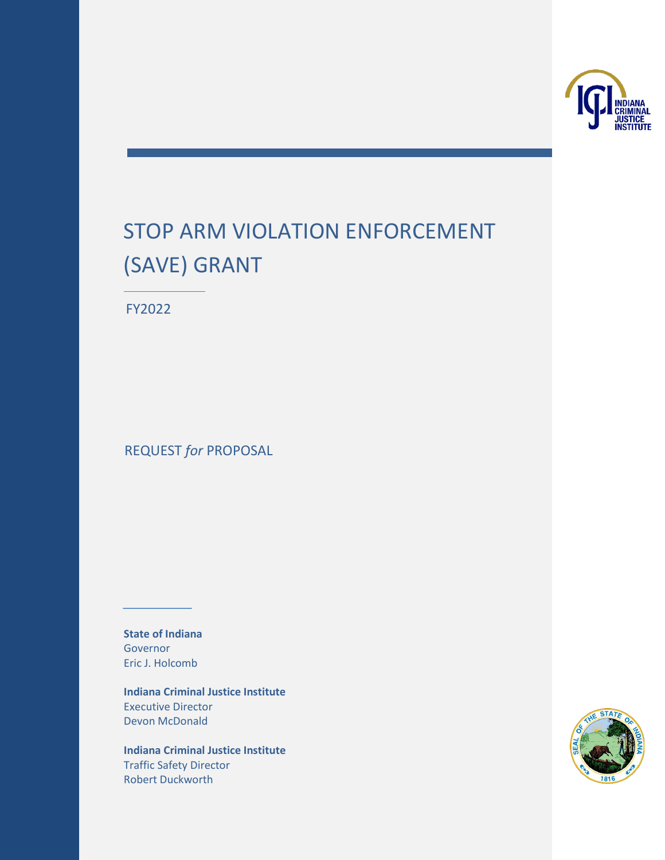

# STOP ARM VIOLATION ENFORCEMENT (SAVE) GRANT

FY2022

REQUEST *for* PROPOSAL

**State of Indiana** Governor Eric J. Holcomb

**Indiana Criminal Justice Institute** Executive Director Devon McDonald

**Indiana Criminal Justice Institute** Traffic Safety Director Robert Duckworth

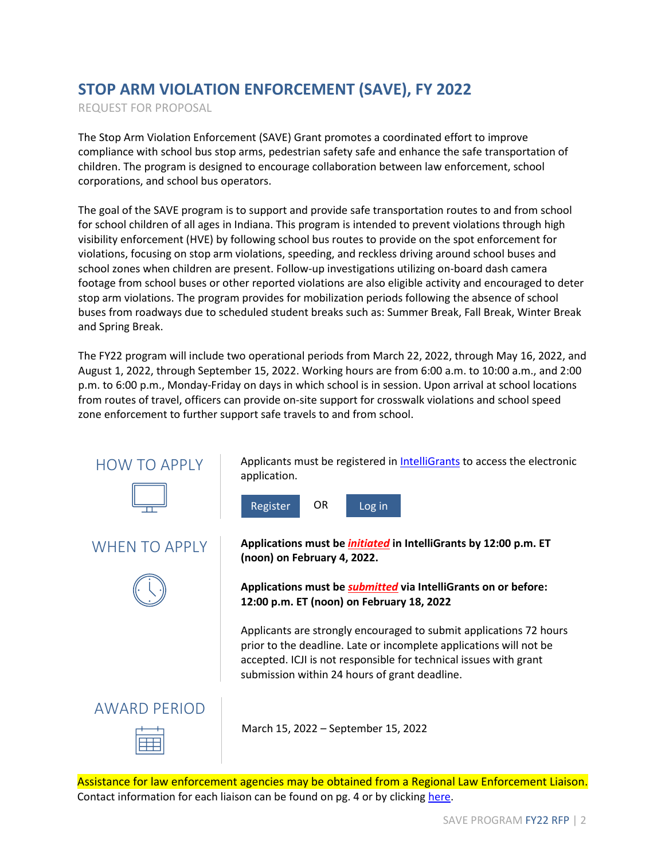# **STOP ARM VIOLATION ENFORCEMENT (SAVE), FY 2022**

REQUEST FOR PROPOSAL

The Stop Arm Violation Enforcement (SAVE) Grant promotes a coordinated effort to improve compliance with school bus stop arms, pedestrian safety safe and enhance the safe transportation of children. The program is designed to encourage collaboration between law enforcement, school corporations, and school bus operators.

The goal of the SAVE program is to support and provide safe transportation routes to and from school for school children of all ages in Indiana. This program is intended to prevent violations through high visibility enforcement (HVE) by following school bus routes to provide on the spot enforcement for violations, focusing on stop arm violations, speeding, and reckless driving around school buses and school zones when children are present. Follow-up investigations utilizing on-board dash camera footage from school buses or other reported violations are also eligible activity and encouraged to deter stop arm violations. The program provides for mobilization periods following the absence of school buses from roadways due to scheduled student breaks such as: Summer Break, Fall Break, Winter Break and Spring Break.

The FY22 program will include two operational periods from March 22, 2022, through May 16, 2022, and August 1, 2022, through September 15, 2022. Working hours are from 6:00 a.m. to 10:00 a.m., and 2:00 p.m. to 6:00 p.m., Monday-Friday on days in which school is in session. Upon arrival at school locations from routes of travel, officers can provide on-site support for crosswalk violations and school speed zone enforcement to further support safe travels to and from school.



Assistance for law enforcement agencies may be obtained from a Regional Law Enforcement Liaison. Contact information for each liaison can be found on pg. 4 or by clicking [here.](https://www.in.gov/cji/traffic-safety/law-enforcement-liaisons/)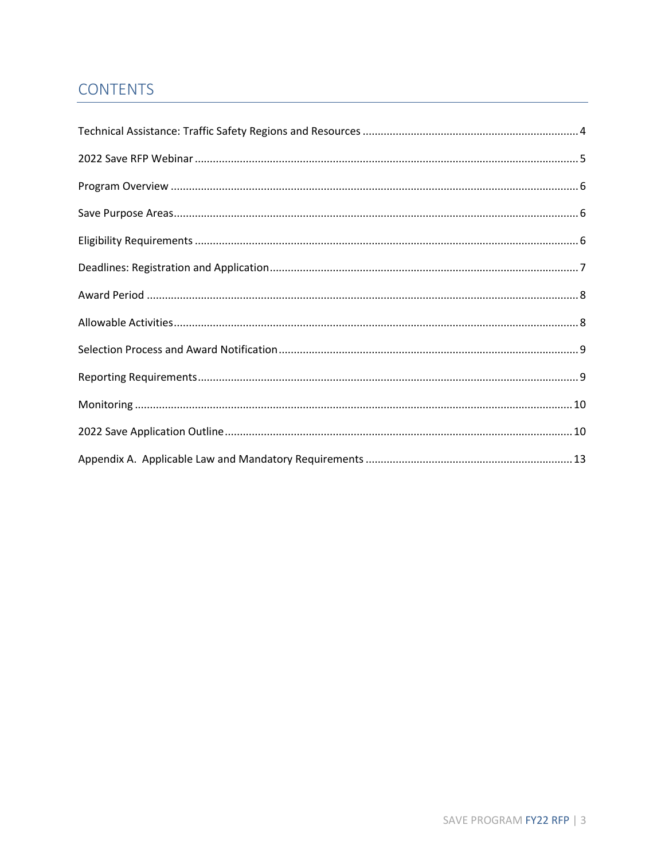# **CONTENTS**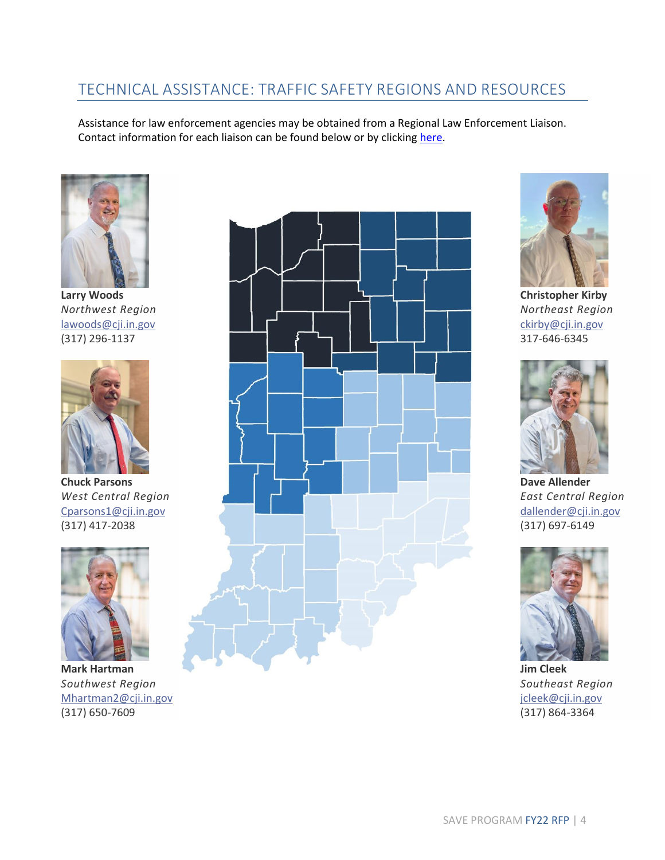# <span id="page-3-0"></span>TECHNICAL ASSISTANCE: TRAFFIC SAFETY REGIONS AND RESOURCES

Assistance for law enforcement agencies may be obtained from a Regional Law Enforcement Liaison. Contact information for each liaison can be found below or by clickin[g here.](https://www.in.gov/cji/traffic-safety/law-enforcement-liaisons/)



**Larry Woods** *Northwest Region* [lawoods@cji.in.gov](mailto:lawoods@cji.in.gov) (317) 296-1137



**Chuck Parsons** *West Central Region* [Cparsons1@cji.in.gov](mailto:Cparsons1@cji.in.gov) (317) 417-2038



**Mark Hartman** *Southwest Region* [Mhartman2@cji.in.gov](mailto:Mhartman2@cji.in.gov) (317) 650-7609





**Christopher Kirby** *Northeast Region* [ckirby@cji.in.gov](mailto:lawoods@cji.in.gov) 317-646-6345



**Dave Allender** *East Central Region* [dallender@cji.in.gov](mailto:dallender@cji.in.gov) (317) 697-6149



**Jim Cleek** *Southeast Region* [jcleek@cji.in.gov](mailto:jcleek@cji.in.gov) (317) 864-3364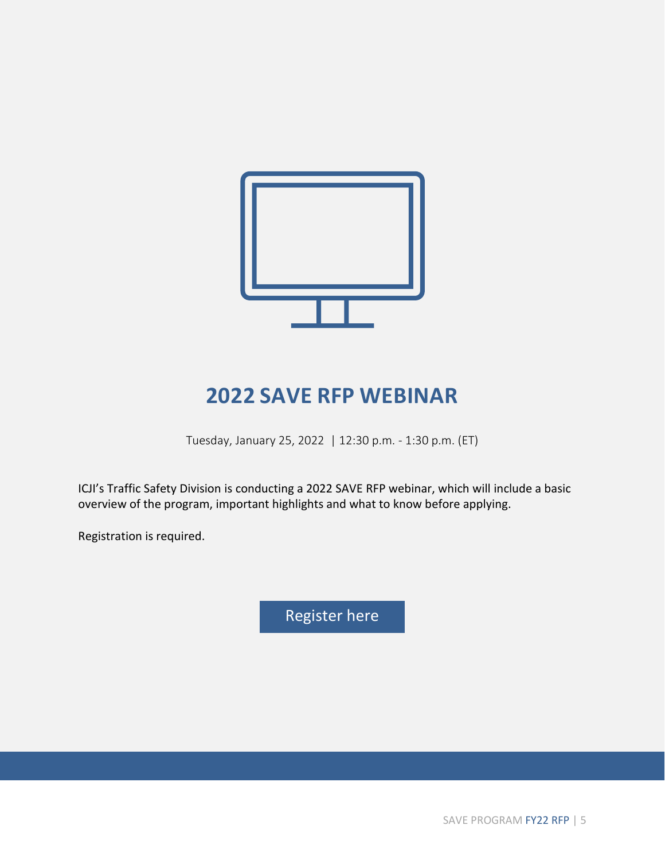

# **2022 SAVE RFP WEBINAR**

Tuesday, January 25, 2022 | 12:30 p.m. - 1:30 p.m. (ET)

<span id="page-4-0"></span>ICJI's Traffic Safety Division is conducting a 2022 SAVE RFP webinar, which will include a basic overview of the program, important highlights and what to know before applying.

Registration is required.

[Register](https://indiana.webex.com/webappng/sites/indiana/meeting/info/0f5e71e1ceaa43838790f52f621a7601?isPopupRegisterView=true) here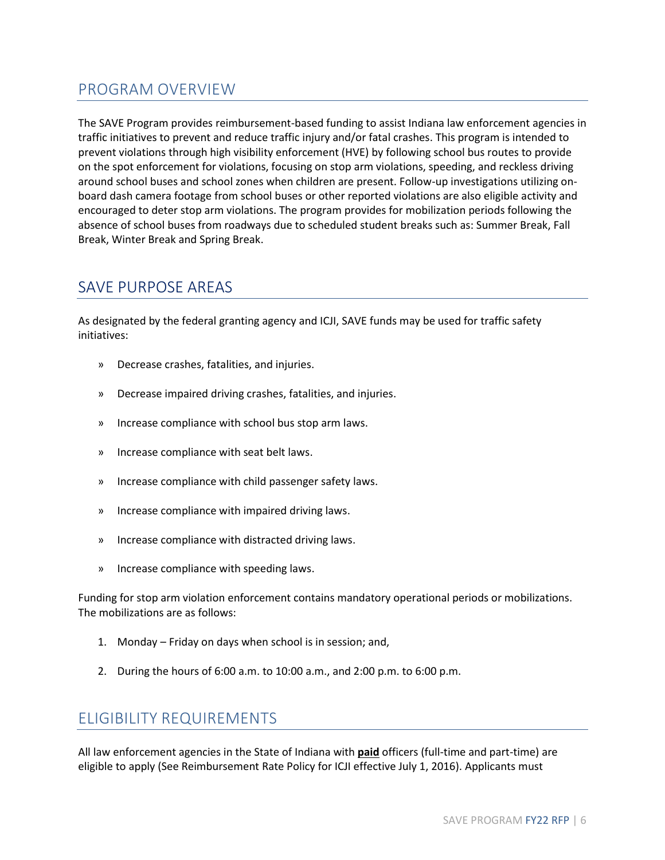# <span id="page-5-0"></span>PROGRAM OVERVIEW

The SAVE Program provides reimbursement-based funding to assist Indiana law enforcement agencies in traffic initiatives to prevent and reduce traffic injury and/or fatal crashes. This program is intended to prevent violations through high visibility enforcement (HVE) by following school bus routes to provide on the spot enforcement for violations, focusing on stop arm violations, speeding, and reckless driving around school buses and school zones when children are present. Follow-up investigations utilizing onboard dash camera footage from school buses or other reported violations are also eligible activity and encouraged to deter stop arm violations. The program provides for mobilization periods following the absence of school buses from roadways due to scheduled student breaks such as: Summer Break, Fall Break, Winter Break and Spring Break.

# <span id="page-5-1"></span>SAVE PURPOSE AREAS

As designated by the federal granting agency and ICJI, SAVE funds may be used for traffic safety initiatives:

- » Decrease crashes, fatalities, and injuries.
- » Decrease impaired driving crashes, fatalities, and injuries.
- » Increase compliance with school bus stop arm laws.
- » Increase compliance with seat belt laws.
- » Increase compliance with child passenger safety laws.
- » Increase compliance with impaired driving laws.
- » Increase compliance with distracted driving laws.
- » Increase compliance with speeding laws.

Funding for stop arm violation enforcement contains mandatory operational periods or mobilizations. The mobilizations are as follows:

- 1. Monday Friday on days when school is in session; and,
- 2. During the hours of 6:00 a.m. to 10:00 a.m., and 2:00 p.m. to 6:00 p.m.

# <span id="page-5-2"></span>ELIGIBILITY REQUIREMENTS

All law enforcement agencies in the State of Indiana with **paid** officers (full-time and part-time) are eligible to apply (See Reimbursement Rate Policy for ICJI effective July 1, 2016). Applicants must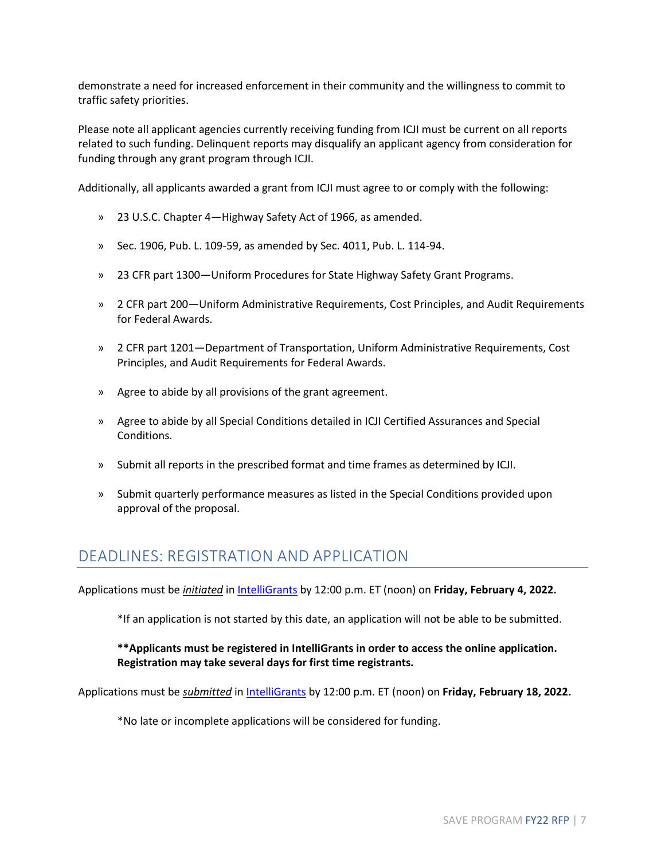demonstrate a need for increased enforcement in their community and the willingness to commit to traffic safety priorities.

Please note all applicant agencies currently receiving funding from ICJI must be current on all reports related to such funding. Delinquent reports may disqualify an applicant agency from consideration for funding through any grant program through ICJI.

Additionally, all applicants awarded a grant from ICJI must agree to or comply with the following:

- » 23 U.S.C. Chapter 4—Highway Safety Act of 1966, as amended.
- » Sec. 1906, Pub. L. 109-59, as amended by Sec. 4011, Pub. L. 114-94.
- » 23 CFR part 1300—Uniform Procedures for State Highway Safety Grant Programs.
- » 2 CFR part 200—Uniform Administrative Requirements, Cost Principles, and Audit Requirements for Federal Awards.
- » 2 CFR part 1201—Department of Transportation, Uniform Administrative Requirements, Cost Principles, and Audit Requirements for Federal Awards.
- » Agree to abide by all provisions of the grant agreement.
- » Agree to abide by all Special Conditions detailed in ICJI Certified Assurances and Special Conditions.
- » Submit all reports in the prescribed format and time frames as determined by ICJI.
- » Submit quarterly performance measures as listed in the Special Conditions provided upon approval of the proposal.

# <span id="page-6-0"></span>DEADLINES: REGISTRATION AND APPLICATION

Applications must be *initiated* i[n IntelliGrants](https://intelligrants.in.gov/) by 12:00 p.m. ET (noon) on **Friday, February 4, 2022.**

\*If an application is not started by this date, an application will not be able to be submitted.

## **\*\*Applicants must be registered in IntelliGrants in order to access the online application. Registration may take several days for first time registrants.**

Applications must be *submitted* in [IntelliGrants](https://intelligrants.in.gov/) by 12:00 p.m. ET (noon) on **Friday, February 18, 2022.**

\*No late or incomplete applications will be considered for funding.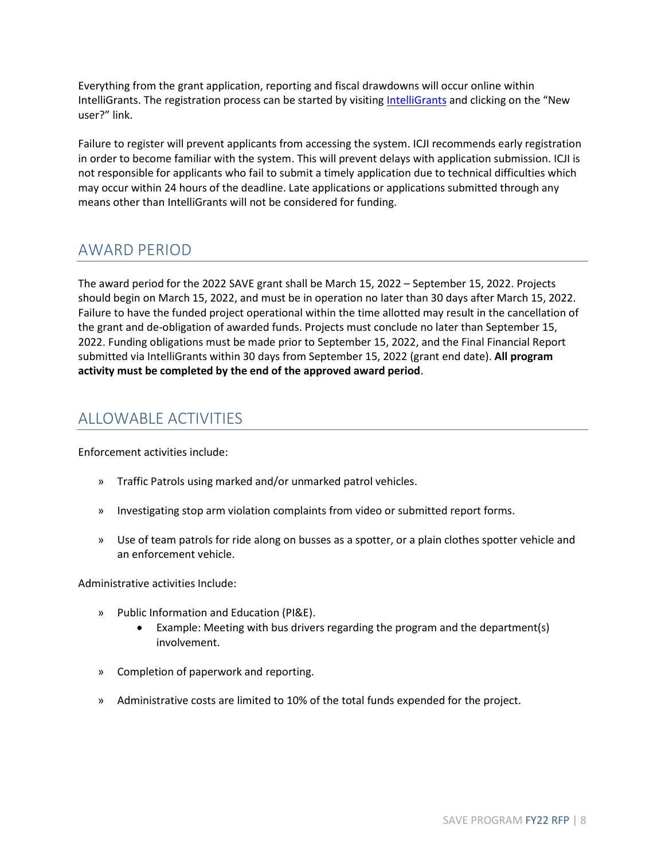Everything from the grant application, reporting and fiscal drawdowns will occur online within IntelliGrants. The registration process can be started by visiting [IntelliGrants](https://intelligrants.in.gov/) and clicking on the "New user?" link.

Failure to register will prevent applicants from accessing the system. ICJI recommends early registration in order to become familiar with the system. This will prevent delays with application submission. ICJI is not responsible for applicants who fail to submit a timely application due to technical difficulties which may occur within 24 hours of the deadline. Late applications or applications submitted through any means other than IntelliGrants will not be considered for funding.

# <span id="page-7-0"></span>AWARD PERIOD

The award period for the 2022 SAVE grant shall be March 15, 2022 – September 15, 2022. Projects should begin on March 15, 2022, and must be in operation no later than 30 days after March 15, 2022. Failure to have the funded project operational within the time allotted may result in the cancellation of the grant and de-obligation of awarded funds. Projects must conclude no later than September 15, 2022. Funding obligations must be made prior to September 15, 2022, and the Final Financial Report submitted via IntelliGrants within 30 days from September 15, 2022 (grant end date). **All program activity must be completed by the end of the approved award period**.

# <span id="page-7-1"></span>ALLOWABLE ACTIVITIES

Enforcement activities include:

- » Traffic Patrols using marked and/or unmarked patrol vehicles.
- » Investigating stop arm violation complaints from video or submitted report forms.
- » Use of team patrols for ride along on busses as a spotter, or a plain clothes spotter vehicle and an enforcement vehicle.

Administrative activities Include:

- » Public Information and Education (PI&E).
	- Example: Meeting with bus drivers regarding the program and the department(s) involvement.
- » Completion of paperwork and reporting.
- » Administrative costs are limited to 10% of the total funds expended for the project.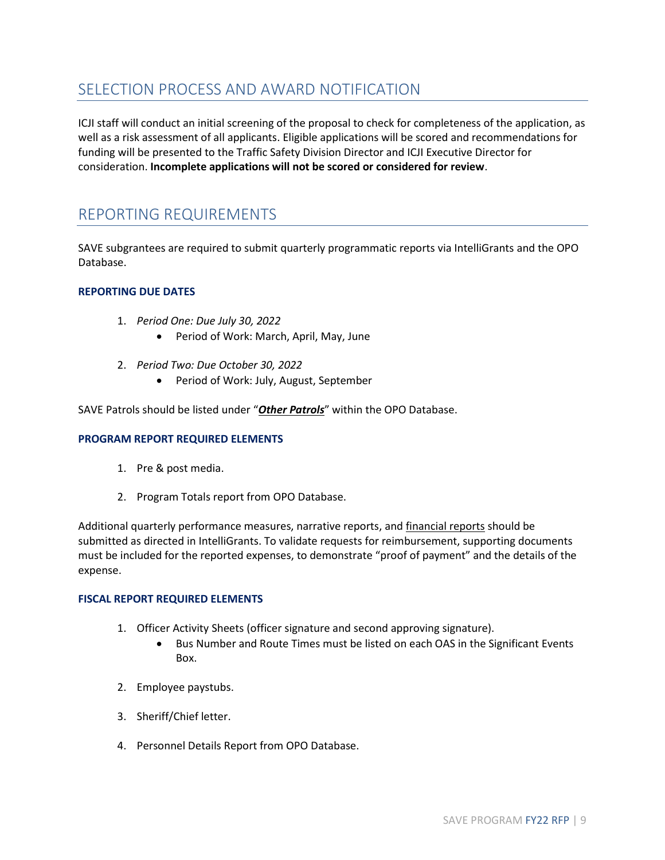# <span id="page-8-0"></span>SELECTION PROCESS AND AWARD NOTIFICATION

ICJI staff will conduct an initial screening of the proposal to check for completeness of the application, as well as a risk assessment of all applicants. Eligible applications will be scored and recommendations for funding will be presented to the Traffic Safety Division Director and ICJI Executive Director for consideration. **Incomplete applications will not be scored or considered for review**.

# <span id="page-8-1"></span>REPORTING REQUIREMENTS

SAVE subgrantees are required to submit quarterly programmatic reports via IntelliGrants and the OPO Database.

### **REPORTING DUE DATES**

- 1. *Period One: Due July 30, 2022*
	- Period of Work: March, April, May, June
- 2. *Period Two: Due October 30, 2022*
	- Period of Work: July, August, September

SAVE Patrols should be listed under "*Other Patrols*" within the OPO Database.

### **PROGRAM REPORT REQUIRED ELEMENTS**

- 1. Pre & post media.
- 2. Program Totals report from OPO Database.

Additional quarterly performance measures, narrative reports, and financial reports should be submitted as directed in IntelliGrants. To validate requests for reimbursement, supporting documents must be included for the reported expenses, to demonstrate "proof of payment" and the details of the expense.

### **FISCAL REPORT REQUIRED ELEMENTS**

- 1. Officer Activity Sheets (officer signature and second approving signature).
	- Bus Number and Route Times must be listed on each OAS in the Significant Events Box.
- 2. Employee paystubs.
- 3. Sheriff/Chief letter.
- 4. Personnel Details Report from OPO Database.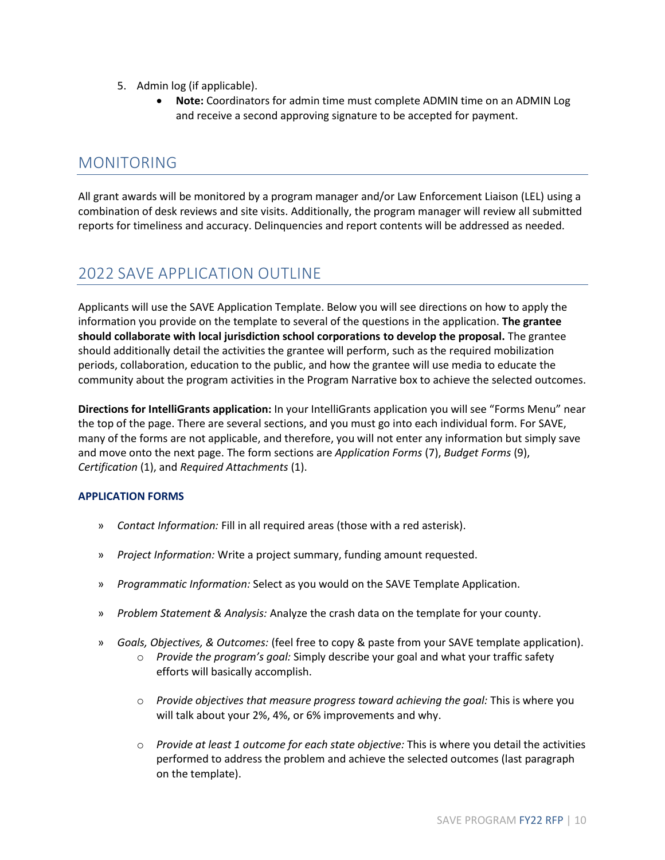- 5. Admin log (if applicable).
	- **Note:** Coordinators for admin time must complete ADMIN time on an ADMIN Log and receive a second approving signature to be accepted for payment.

# <span id="page-9-0"></span>MONITORING

All grant awards will be monitored by a program manager and/or Law Enforcement Liaison (LEL) using a combination of desk reviews and site visits. Additionally, the program manager will review all submitted reports for timeliness and accuracy. Delinquencies and report contents will be addressed as needed.

# <span id="page-9-1"></span>2022 SAVE APPLICATION OUTLINE

Applicants will use the SAVE Application Template. Below you will see directions on how to apply the information you provide on the template to several of the questions in the application. **The grantee should collaborate with local jurisdiction school corporations to develop the proposal.** The grantee should additionally detail the activities the grantee will perform, such as the required mobilization periods, collaboration, education to the public, and how the grantee will use media to educate the community about the program activities in the Program Narrative box to achieve the selected outcomes.

**Directions for IntelliGrants application:** In your IntelliGrants application you will see "Forms Menu" near the top of the page. There are several sections, and you must go into each individual form. For SAVE, many of the forms are not applicable, and therefore, you will not enter any information but simply save and move onto the next page. The form sections are *Application Forms* (7), *Budget Forms* (9), *Certification* (1), and *Required Attachments* (1).

# **APPLICATION FORMS**

- » *Contact Information:* Fill in all required areas (those with a red asterisk).
- » *Project Information:* Write a project summary, funding amount requested.
- » *Programmatic Information:* Select as you would on the SAVE Template Application.
- » *Problem Statement & Analysis:* Analyze the crash data on the template for your county.
- » *Goals, Objectives, & Outcomes:* (feel free to copy & paste from your SAVE template application).
	- o *Provide the program's goal:* Simply describe your goal and what your traffic safety efforts will basically accomplish.
		- o *Provide objectives that measure progress toward achieving the goal:* This is where you will talk about your 2%, 4%, or 6% improvements and why.
		- o *Provide at least 1 outcome for each state objective:* This is where you detail the activities performed to address the problem and achieve the selected outcomes (last paragraph on the template).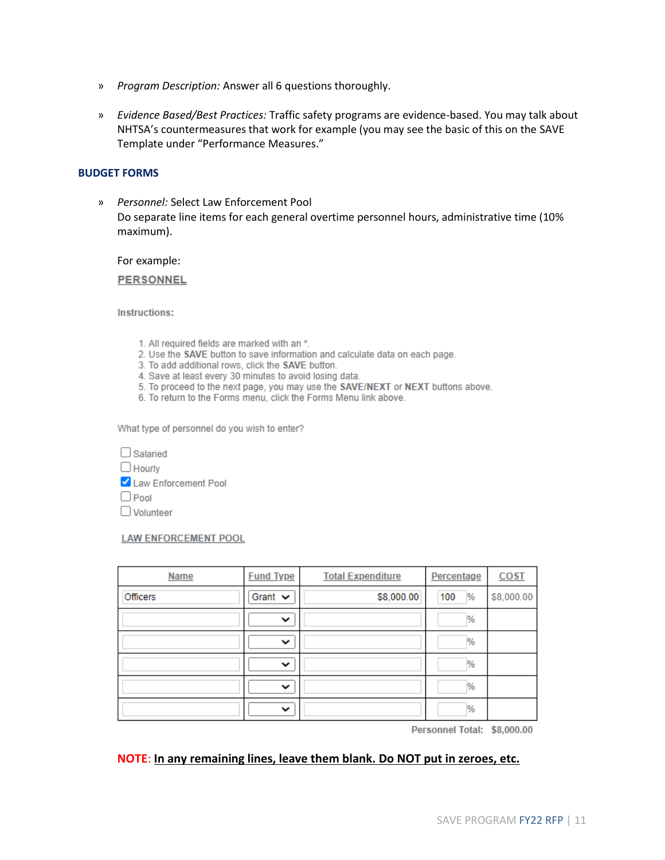- » *Program Description:* Answer all 6 questions thoroughly.
- » *Evidence Based/Best Practices:* Traffic safety programs are evidence-based. You may talk about NHTSA's countermeasures that work for example (you may see the basic of this on the SAVE Template under "Performance Measures."

#### **BUDGET FORMS**

» *Personnel:* Select Law Enforcement Pool Do separate line items for each general overtime personnel hours, administrative time (10% maximum).

For example:

**PERSONNEL** 

**Instructions:** 

- 1. All required fields are marked with an \*.
- 2. Use the SAVE button to save information and calculate data on each page.
- 3. To add additional rows, click the SAVE button.
- 4. Save at least every 30 minutes to avoid losing data.
- 5. To proceed to the next page, you may use the SAVE/NEXT or NEXT buttons above.
- 6. To return to the Forms menu, click the Forms Menu link above.

What type of personnel do you wish to enter?

| <b>Salaried</b>      |
|----------------------|
| $\Box$ Hourly        |
| Law Enforcement Pool |
| $\Box$ Pool          |
| $\Box$ Volunteer     |

#### **LAW ENFORCEMENT POOL**

| <b>Name</b> | <b>Fund Type</b> | <b>Total Expenditure</b> | Percentage | <b>COST</b> |
|-------------|------------------|--------------------------|------------|-------------|
| Officers    | Grant $\sim$     | \$8,000.00               | %<br>100   | \$8,000.00  |
|             | $\checkmark$     |                          | %          |             |
|             | $\checkmark$     |                          | %          |             |
|             | $\checkmark$     |                          | %          |             |
|             | $\checkmark$     |                          | %          |             |
|             | $\checkmark$     |                          | %          |             |

Personnel Total: \$8,000.00

#### **NOTE**: **In any remaining lines, leave them blank. Do NOT put in zeroes, etc.**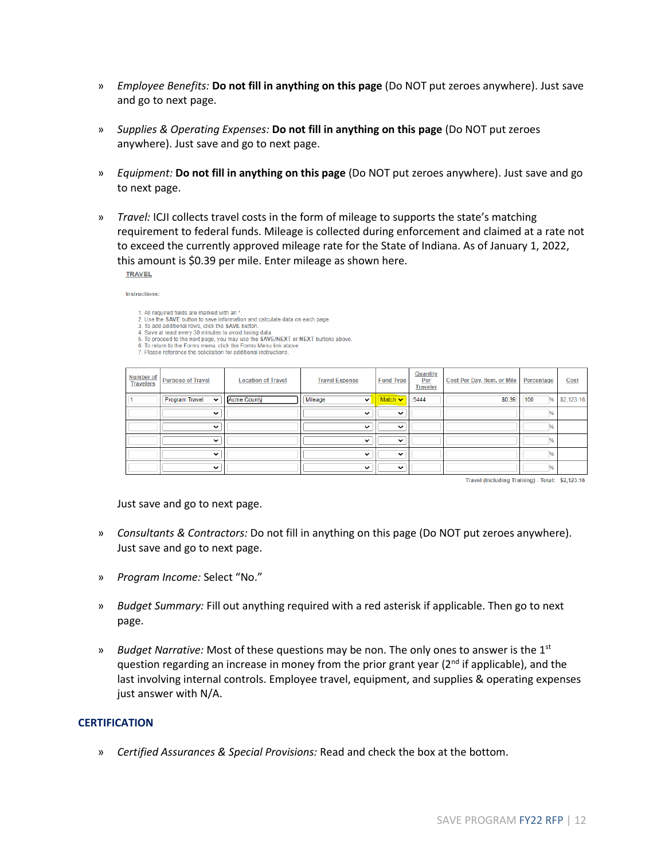- » *Employee Benefits:* **Do not fill in anything on this page** (Do NOT put zeroes anywhere). Just save and go to next page.
- » *Supplies & Operating Expenses:* **Do not fill in anything on this page** (Do NOT put zeroes anywhere). Just save and go to next page.
- » *Equipment:* **Do not fill in anything on this page** (Do NOT put zeroes anywhere). Just save and go to next page.
- » *Travel:* ICJI collects travel costs in the form of mileage to supports the state's matching requirement to federal funds. Mileage is collected during enforcement and claimed at a rate not to exceed the currently approved mileage rate for the State of Indiana. As of January 1, 2022, this amount is \$0.39 per mile. Enter mileage as shown here. **TRAVEL**

Instructions:

- 1. All required fields are marked with an \*.<br>2. Use the SAVE button to save information and calculate data on each page.
- 
- 2. Use the SAVE but<br>and discussion of save information and calculate data on each page.<br>3. To add additional rows, click the SAVE button.<br>4. Save at least every 30 minutes to avoid losing data.<br>5. To proceed to the next pa
- 
- 

| <b>Number of</b><br><b>Travelers</b> | <b>Purpose of Travel</b>             | <b>Location of Travel</b> | <b>Travel Expense</b>   | <b>Fund Type</b>              | <b>Quantity</b><br>Per<br><b>Traveler</b> | Cost Per Day, Item, or Mile | Percentage    | <b>Cost</b> |
|--------------------------------------|--------------------------------------|---------------------------|-------------------------|-------------------------------|-------------------------------------------|-----------------------------|---------------|-------------|
|                                      | <b>Program Travel</b><br>$\check{ }$ | <b>Acme County</b>        | Mileage<br>$\checkmark$ | $\blacksquare$ Match $\smile$ | 5444                                      | \$0.39                      | %<br>100      | \$2,123.16  |
|                                      | $\check{ }$                          |                           | $\checkmark$            | $\check{ }$                   |                                           |                             | $\frac{9}{6}$ |             |
|                                      | $\checkmark$                         |                           | $\check{ }$             | $\checkmark$                  |                                           |                             | $\frac{9}{6}$ |             |
|                                      | $\checkmark$                         |                           | $\check{ }$             | $\checkmark$                  |                                           |                             | $\frac{9}{6}$ |             |
|                                      | $\check{ }$                          |                           | $\checkmark$            | $\check{ }$                   |                                           |                             | %             |             |
|                                      | $\checkmark$                         |                           | $\checkmark$            | $\checkmark$                  |                                           |                             | $\frac{9}{6}$ |             |

Travel (Including Training) - Total: \$2,123.16

Just save and go to next page.

- » *Consultants & Contractors:* Do not fill in anything on this page (Do NOT put zeroes anywhere). Just save and go to next page.
- » *Program Income:* Select "No."
- » *Budget Summary:* Fill out anything required with a red asterisk if applicable. Then go to next page.
- » *Budget Narrative:* Most of these questions may be non. The only ones to answer is the 1st question regarding an increase in money from the prior grant year ( $2<sup>nd</sup>$  if applicable), and the last involving internal controls. Employee travel, equipment, and supplies & operating expenses just answer with N/A.

#### **CERTIFICATION**

» *Certified Assurances & Special Provisions:* Read and check the box at the bottom.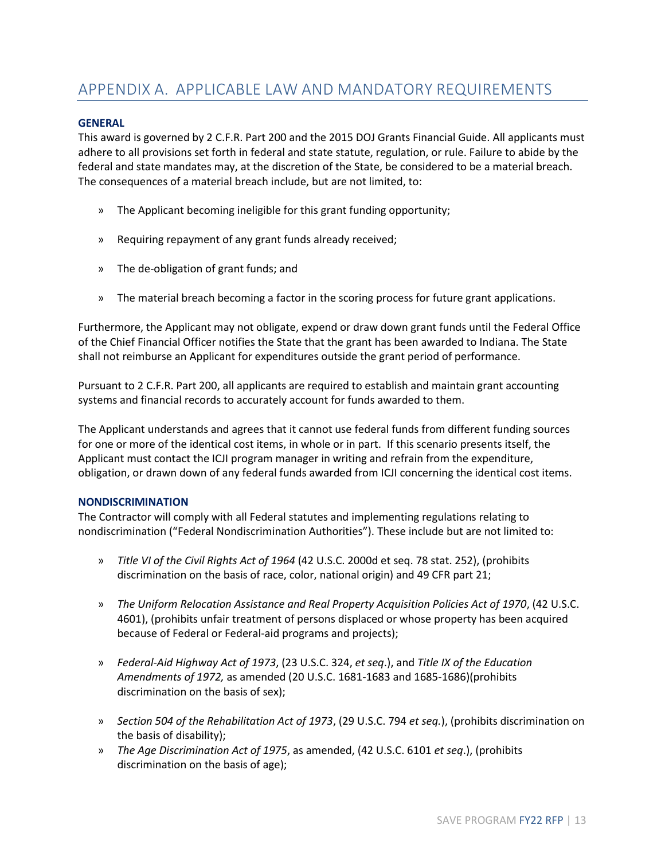# <span id="page-12-0"></span>APPENDIX A. APPLICABLE LAW AND MANDATORY REQUIREMENTS

#### **GENERAL**

This award is governed by 2 C.F.R. Part 200 and the 2015 DOJ Grants Financial Guide. All applicants must adhere to all provisions set forth in federal and state statute, regulation, or rule. Failure to abide by the federal and state mandates may, at the discretion of the State, be considered to be a material breach. The consequences of a material breach include, but are not limited, to:

- » The Applicant becoming ineligible for this grant funding opportunity;
- » Requiring repayment of any grant funds already received;
- » The de-obligation of grant funds; and
- » The material breach becoming a factor in the scoring process for future grant applications.

Furthermore, the Applicant may not obligate, expend or draw down grant funds until the Federal Office of the Chief Financial Officer notifies the State that the grant has been awarded to Indiana. The State shall not reimburse an Applicant for expenditures outside the grant period of performance.

Pursuant to 2 C.F.R. Part 200, all applicants are required to establish and maintain grant accounting systems and financial records to accurately account for funds awarded to them.

The Applicant understands and agrees that it cannot use federal funds from different funding sources for one or more of the identical cost items, in whole or in part. If this scenario presents itself, the Applicant must contact the ICJI program manager in writing and refrain from the expenditure, obligation, or drawn down of any federal funds awarded from ICJI concerning the identical cost items.

#### **NONDISCRIMINATION**

The Contractor will comply with all Federal statutes and implementing regulations relating to nondiscrimination ("Federal Nondiscrimination Authorities"). These include but are not limited to:

- » *Title VI of the Civil Rights Act of 1964* (42 U.S.C. 2000d et seq. 78 stat. 252), (prohibits discrimination on the basis of race, color, national origin) and 49 CFR part 21;
- » *The Uniform Relocation Assistance and Real Property Acquisition Policies Act of 1970*, (42 U.S.C. 4601), (prohibits unfair treatment of persons displaced or whose property has been acquired because of Federal or Federal-aid programs and projects);
- » *Federal-Aid Highway Act of 1973*, (23 U.S.C. 324, *et seq*.), and *Title IX of the Education Amendments of 1972,* as amended (20 U.S.C. 1681-1683 and 1685-1686)(prohibits discrimination on the basis of sex);
- » *Section 504 of the Rehabilitation Act of 1973*, (29 U.S.C. 794 *et seq.*), (prohibits discrimination on the basis of disability);
- » *The Age Discrimination Act of 1975*, as amended, (42 U.S.C. 6101 *et seq*.), (prohibits discrimination on the basis of age);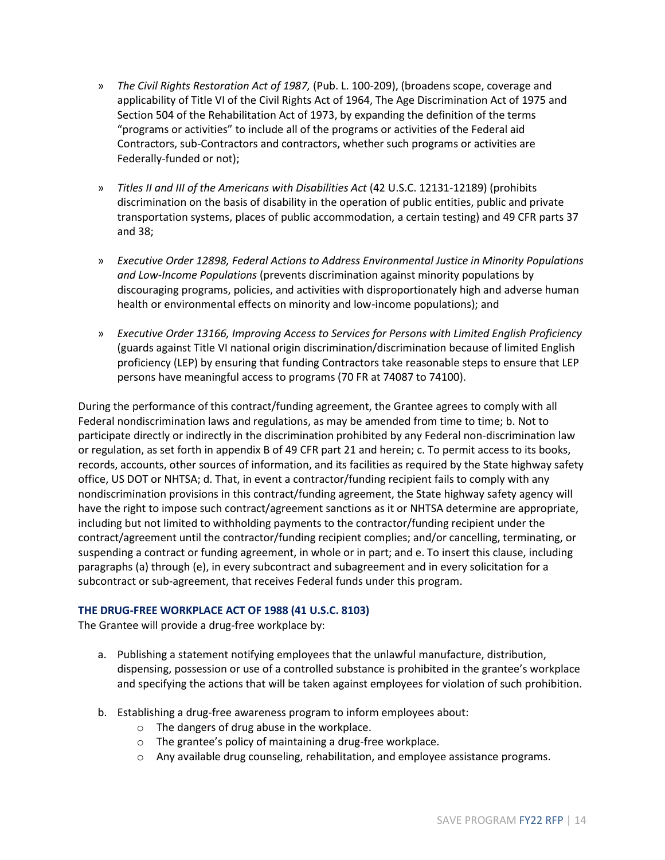- » *The Civil Rights Restoration Act of 1987,* (Pub. L. 100-209), (broadens scope, coverage and applicability of Title VI of the Civil Rights Act of 1964, The Age Discrimination Act of 1975 and Section 504 of the Rehabilitation Act of 1973, by expanding the definition of the terms "programs or activities" to include all of the programs or activities of the Federal aid Contractors, sub-Contractors and contractors, whether such programs or activities are Federally-funded or not);
- » *Titles II and III of the Americans with Disabilities Act* (42 U.S.C. 12131-12189) (prohibits discrimination on the basis of disability in the operation of public entities, public and private transportation systems, places of public accommodation, a certain testing) and 49 CFR parts 37 and 38;
- » *Executive Order 12898, Federal Actions to Address Environmental Justice in Minority Populations and Low-Income Populations* (prevents discrimination against minority populations by discouraging programs, policies, and activities with disproportionately high and adverse human health or environmental effects on minority and low-income populations); and
- » *Executive Order 13166, Improving Access to Services for Persons with Limited English Proficiency* (guards against Title VI national origin discrimination/discrimination because of limited English proficiency (LEP) by ensuring that funding Contractors take reasonable steps to ensure that LEP persons have meaningful access to programs (70 FR at 74087 to 74100).

During the performance of this contract/funding agreement, the Grantee agrees to comply with all Federal nondiscrimination laws and regulations, as may be amended from time to time; b. Not to participate directly or indirectly in the discrimination prohibited by any Federal non-discrimination law or regulation, as set forth in appendix B of 49 CFR part 21 and herein; c. To permit access to its books, records, accounts, other sources of information, and its facilities as required by the State highway safety office, US DOT or NHTSA; d. That, in event a contractor/funding recipient fails to comply with any nondiscrimination provisions in this contract/funding agreement, the State highway safety agency will have the right to impose such contract/agreement sanctions as it or NHTSA determine are appropriate, including but not limited to withholding payments to the contractor/funding recipient under the contract/agreement until the contractor/funding recipient complies; and/or cancelling, terminating, or suspending a contract or funding agreement, in whole or in part; and e. To insert this clause, including paragraphs (a) through (e), in every subcontract and subagreement and in every solicitation for a subcontract or sub-agreement, that receives Federal funds under this program.

### **THE DRUG-FREE WORKPLACE ACT OF 1988 (41 U.S.C. 8103)**

The Grantee will provide a drug-free workplace by:

- a. Publishing a statement notifying employees that the unlawful manufacture, distribution, dispensing, possession or use of a controlled substance is prohibited in the grantee's workplace and specifying the actions that will be taken against employees for violation of such prohibition.
- b. Establishing a drug-free awareness program to inform employees about:
	- o The dangers of drug abuse in the workplace.
	- o The grantee's policy of maintaining a drug-free workplace.
	- o Any available drug counseling, rehabilitation, and employee assistance programs.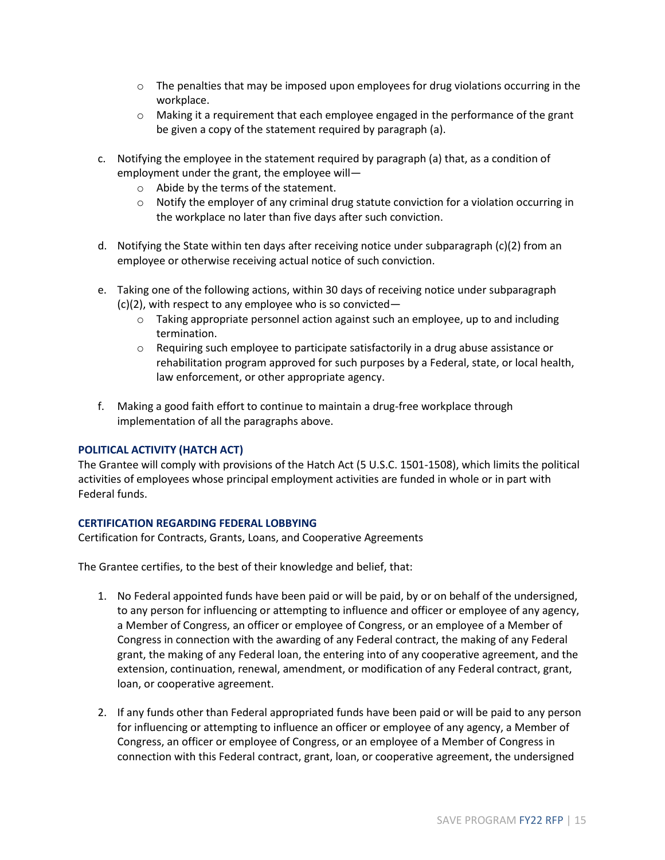- $\circ$  The penalties that may be imposed upon employees for drug violations occurring in the workplace.
- $\circ$  Making it a requirement that each employee engaged in the performance of the grant be given a copy of the statement required by paragraph (a).
- c. Notifying the employee in the statement required by paragraph (a) that, as a condition of employment under the grant, the employee will
	- o Abide by the terms of the statement.
	- $\circ$  Notify the employer of any criminal drug statute conviction for a violation occurring in the workplace no later than five days after such conviction.
- d. Notifying the State within ten days after receiving notice under subparagraph (c)(2) from an employee or otherwise receiving actual notice of such conviction.
- e. Taking one of the following actions, within 30 days of receiving notice under subparagraph (c)(2), with respect to any employee who is so convicted—
	- $\circ$  Taking appropriate personnel action against such an employee, up to and including termination.
	- $\circ$  Requiring such employee to participate satisfactorily in a drug abuse assistance or rehabilitation program approved for such purposes by a Federal, state, or local health, law enforcement, or other appropriate agency.
- f. Making a good faith effort to continue to maintain a drug-free workplace through implementation of all the paragraphs above.

### **POLITICAL ACTIVITY (HATCH ACT)**

The Grantee will comply with provisions of the Hatch Act (5 U.S.C. 1501-1508), which limits the political activities of employees whose principal employment activities are funded in whole or in part with Federal funds.

### **CERTIFICATION REGARDING FEDERAL LOBBYING**

Certification for Contracts, Grants, Loans, and Cooperative Agreements

The Grantee certifies, to the best of their knowledge and belief, that:

- 1. No Federal appointed funds have been paid or will be paid, by or on behalf of the undersigned, to any person for influencing or attempting to influence and officer or employee of any agency, a Member of Congress, an officer or employee of Congress, or an employee of a Member of Congress in connection with the awarding of any Federal contract, the making of any Federal grant, the making of any Federal loan, the entering into of any cooperative agreement, and the extension, continuation, renewal, amendment, or modification of any Federal contract, grant, loan, or cooperative agreement.
- 2. If any funds other than Federal appropriated funds have been paid or will be paid to any person for influencing or attempting to influence an officer or employee of any agency, a Member of Congress, an officer or employee of Congress, or an employee of a Member of Congress in connection with this Federal contract, grant, loan, or cooperative agreement, the undersigned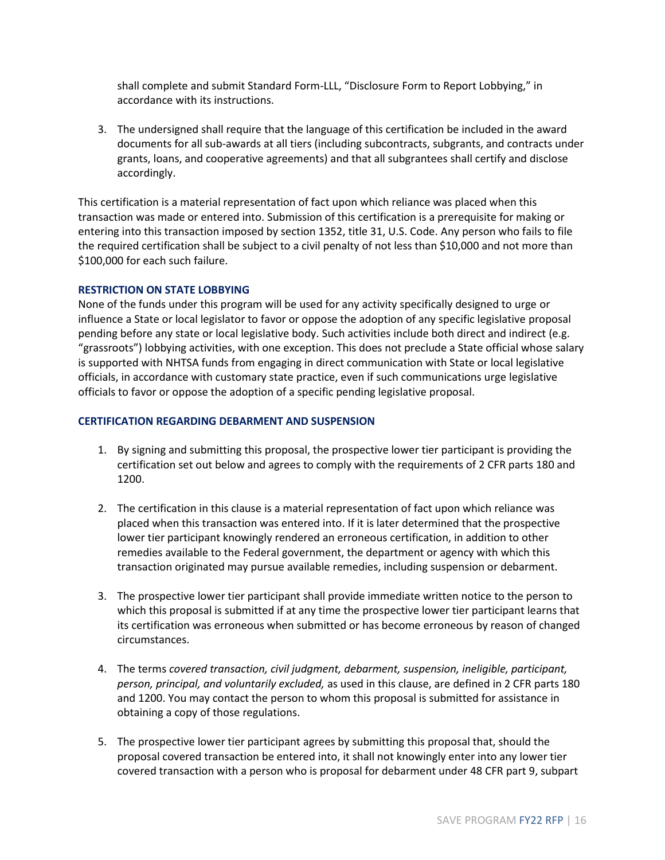shall complete and submit Standard Form-LLL, "Disclosure Form to Report Lobbying," in accordance with its instructions.

3. The undersigned shall require that the language of this certification be included in the award documents for all sub-awards at all tiers (including subcontracts, subgrants, and contracts under grants, loans, and cooperative agreements) and that all subgrantees shall certify and disclose accordingly.

This certification is a material representation of fact upon which reliance was placed when this transaction was made or entered into. Submission of this certification is a prerequisite for making or entering into this transaction imposed by section 1352, title 31, U.S. Code. Any person who fails to file the required certification shall be subject to a civil penalty of not less than \$10,000 and not more than \$100,000 for each such failure.

#### **RESTRICTION ON STATE LOBBYING**

None of the funds under this program will be used for any activity specifically designed to urge or influence a State or local legislator to favor or oppose the adoption of any specific legislative proposal pending before any state or local legislative body. Such activities include both direct and indirect (e.g. "grassroots") lobbying activities, with one exception. This does not preclude a State official whose salary is supported with NHTSA funds from engaging in direct communication with State or local legislative officials, in accordance with customary state practice, even if such communications urge legislative officials to favor or oppose the adoption of a specific pending legislative proposal.

#### **CERTIFICATION REGARDING DEBARMENT AND SUSPENSION**

- 1. By signing and submitting this proposal, the prospective lower tier participant is providing the certification set out below and agrees to comply with the requirements of 2 CFR parts 180 and 1200.
- 2. The certification in this clause is a material representation of fact upon which reliance was placed when this transaction was entered into. If it is later determined that the prospective lower tier participant knowingly rendered an erroneous certification, in addition to other remedies available to the Federal government, the department or agency with which this transaction originated may pursue available remedies, including suspension or debarment.
- 3. The prospective lower tier participant shall provide immediate written notice to the person to which this proposal is submitted if at any time the prospective lower tier participant learns that its certification was erroneous when submitted or has become erroneous by reason of changed circumstances.
- 4. The terms *covered transaction, civil judgment, debarment, suspension, ineligible, participant, person, principal, and voluntarily excluded,* as used in this clause, are defined in 2 CFR parts 180 and 1200. You may contact the person to whom this proposal is submitted for assistance in obtaining a copy of those regulations.
- 5. The prospective lower tier participant agrees by submitting this proposal that, should the proposal covered transaction be entered into, it shall not knowingly enter into any lower tier covered transaction with a person who is proposal for debarment under 48 CFR part 9, subpart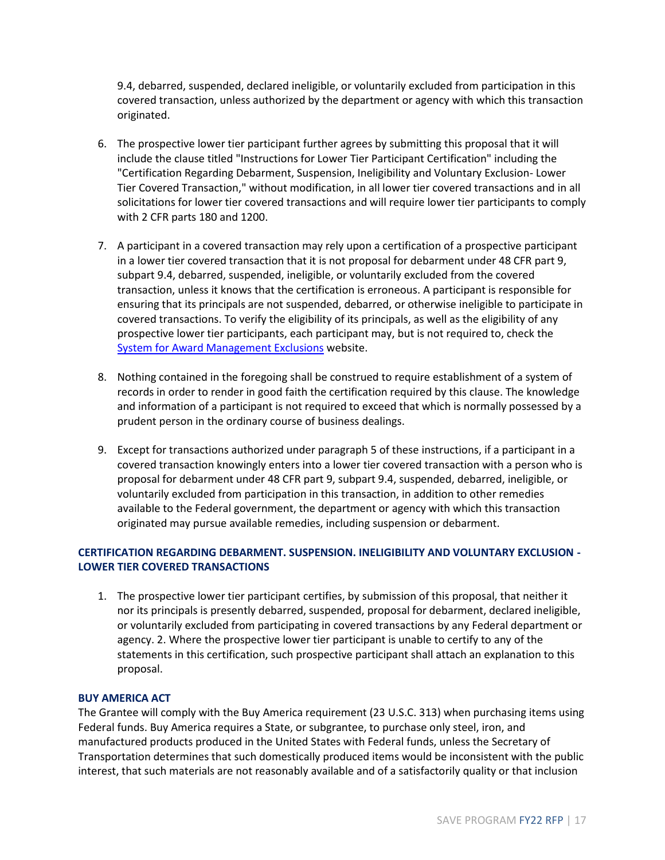9.4, debarred, suspended, declared ineligible, or voluntarily excluded from participation in this covered transaction, unless authorized by the department or agency with which this transaction originated.

- 6. The prospective lower tier participant further agrees by submitting this proposal that it will include the clause titled "Instructions for Lower Tier Participant Certification" including the "Certification Regarding Debarment, Suspension, Ineligibility and Voluntary Exclusion- Lower Tier Covered Transaction," without modification, in all lower tier covered transactions and in all solicitations for lower tier covered transactions and will require lower tier participants to comply with 2 CFR parts 180 and 1200.
- 7. A participant in a covered transaction may rely upon a certification of a prospective participant in a lower tier covered transaction that it is not proposal for debarment under 48 CFR part 9, subpart 9.4, debarred, suspended, ineligible, or voluntarily excluded from the covered transaction, unless it knows that the certification is erroneous. A participant is responsible for ensuring that its principals are not suspended, debarred, or otherwise ineligible to participate in covered transactions. To verify the eligibility of its principals, as well as the eligibility of any prospective lower tier participants, each participant may, but is not required to, check the [System for Award Management Exclusions](https://www.sam.gov/) website.
- 8. Nothing contained in the foregoing shall be construed to require establishment of a system of records in order to render in good faith the certification required by this clause. The knowledge and information of a participant is not required to exceed that which is normally possessed by a prudent person in the ordinary course of business dealings.
- 9. Except for transactions authorized under paragraph 5 of these instructions, if a participant in a covered transaction knowingly enters into a lower tier covered transaction with a person who is proposal for debarment under 48 CFR part 9, subpart 9.4, suspended, debarred, ineligible, or voluntarily excluded from participation in this transaction, in addition to other remedies available to the Federal government, the department or agency with which this transaction originated may pursue available remedies, including suspension or debarment.

## **CERTIFICATION REGARDING DEBARMENT. SUSPENSION. INELIGIBILITY AND VOLUNTARY EXCLUSION - LOWER TIER COVERED TRANSACTIONS**

1. The prospective lower tier participant certifies, by submission of this proposal, that neither it nor its principals is presently debarred, suspended, proposal for debarment, declared ineligible, or voluntarily excluded from participating in covered transactions by any Federal department or agency. 2. Where the prospective lower tier participant is unable to certify to any of the statements in this certification, such prospective participant shall attach an explanation to this proposal.

### **BUY AMERICA ACT**

The Grantee will comply with the Buy America requirement (23 U.S.C. 313) when purchasing items using Federal funds. Buy America requires a State, or subgrantee, to purchase only steel, iron, and manufactured products produced in the United States with Federal funds, unless the Secretary of Transportation determines that such domestically produced items would be inconsistent with the public interest, that such materials are not reasonably available and of a satisfactorily quality or that inclusion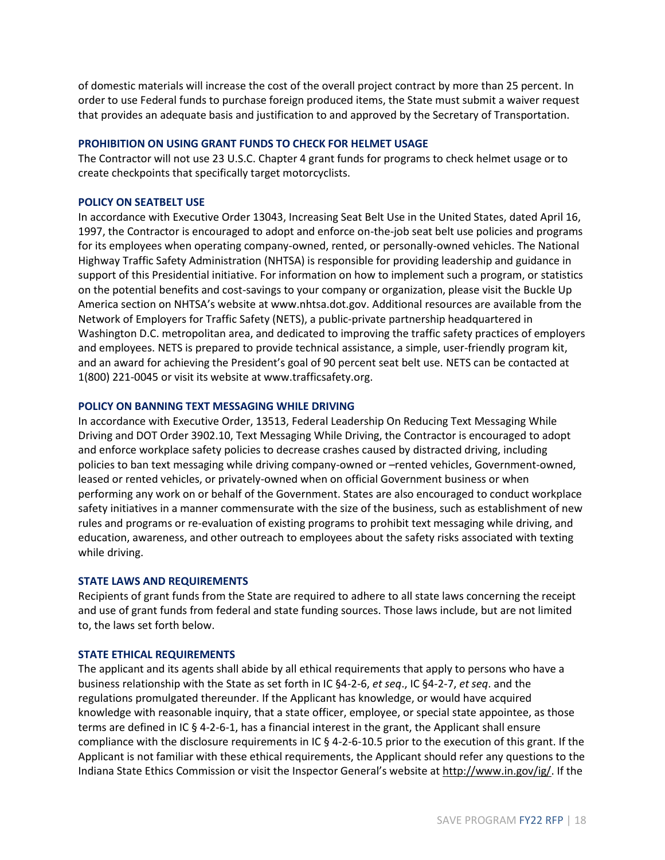of domestic materials will increase the cost of the overall project contract by more than 25 percent. In order to use Federal funds to purchase foreign produced items, the State must submit a waiver request that provides an adequate basis and justification to and approved by the Secretary of Transportation.

#### **PROHIBITION ON USING GRANT FUNDS TO CHECK FOR HELMET USAGE**

The Contractor will not use 23 U.S.C. Chapter 4 grant funds for programs to check helmet usage or to create checkpoints that specifically target motorcyclists.

#### **POLICY ON SEATBELT USE**

In accordance with Executive Order 13043, Increasing Seat Belt Use in the United States, dated April 16, 1997, the Contractor is encouraged to adopt and enforce on-the-job seat belt use policies and programs for its employees when operating company-owned, rented, or personally-owned vehicles. The National Highway Traffic Safety Administration (NHTSA) is responsible for providing leadership and guidance in support of this Presidential initiative. For information on how to implement such a program, or statistics on the potential benefits and cost-savings to your company or organization, please visit the Buckle Up America section on NHTSA's website at www.nhtsa.dot.gov. Additional resources are available from the Network of Employers for Traffic Safety (NETS), a public-private partnership headquartered in Washington D.C. metropolitan area, and dedicated to improving the traffic safety practices of employers and employees. NETS is prepared to provide technical assistance, a simple, user-friendly program kit, and an award for achieving the President's goal of 90 percent seat belt use. NETS can be contacted at 1(800) 221-0045 or visit its website at www.trafficsafety.org.

#### **POLICY ON BANNING TEXT MESSAGING WHILE DRIVING**

In accordance with Executive Order, 13513, Federal Leadership On Reducing Text Messaging While Driving and DOT Order 3902.10, Text Messaging While Driving, the Contractor is encouraged to adopt and enforce workplace safety policies to decrease crashes caused by distracted driving, including policies to ban text messaging while driving company-owned or –rented vehicles, Government-owned, leased or rented vehicles, or privately-owned when on official Government business or when performing any work on or behalf of the Government. States are also encouraged to conduct workplace safety initiatives in a manner commensurate with the size of the business, such as establishment of new rules and programs or re-evaluation of existing programs to prohibit text messaging while driving, and education, awareness, and other outreach to employees about the safety risks associated with texting while driving.

#### **STATE LAWS AND REQUIREMENTS**

Recipients of grant funds from the State are required to adhere to all state laws concerning the receipt and use of grant funds from federal and state funding sources. Those laws include, but are not limited to, the laws set forth below.

#### **STATE ETHICAL REQUIREMENTS**

The applicant and its agents shall abide by all ethical requirements that apply to persons who have a business relationship with the State as set forth in IC §4-2-6, *et seq*., IC §4-2-7, *et seq*. and the regulations promulgated thereunder. If the Applicant has knowledge, or would have acquired knowledge with reasonable inquiry, that a state officer, employee, or special state appointee, as those terms are defined in IC § 4-2-6-1, has a financial interest in the grant, the Applicant shall ensure compliance with the disclosure requirements in IC § 4-2-6-10.5 prior to the execution of this grant. If the Applicant is not familiar with these ethical requirements, the Applicant should refer any questions to the Indiana State Ethics Commission or visit the Inspector General's website at [http://www.in.gov/ig/.](http://www.in.gov/ig/) If the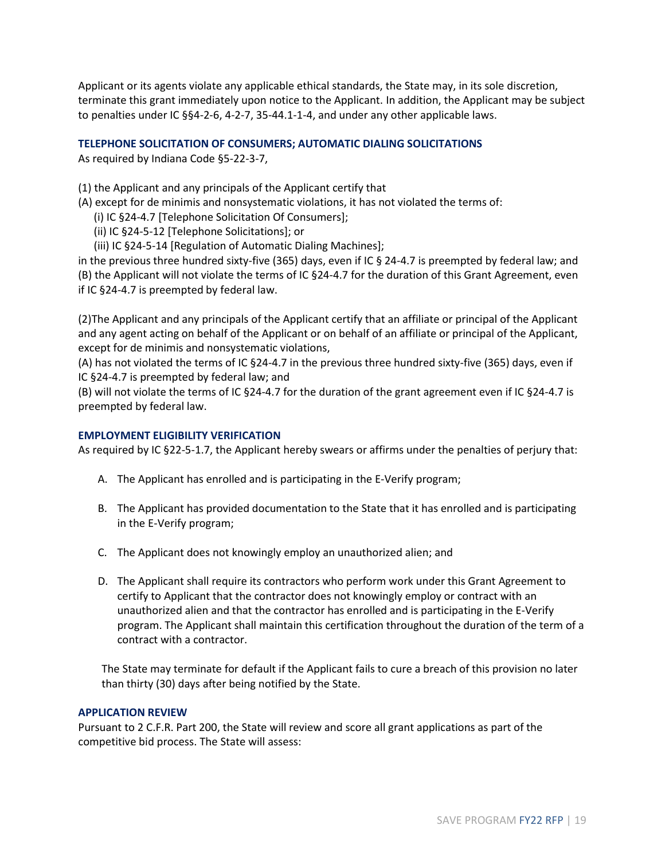Applicant or its agents violate any applicable ethical standards, the State may, in its sole discretion, terminate this grant immediately upon notice to the Applicant. In addition, the Applicant may be subject to penalties under IC §§4-2-6, 4-2-7, 35-44.1-1-4, and under any other applicable laws.

### **TELEPHONE SOLICITATION OF CONSUMERS; AUTOMATIC DIALING SOLICITATIONS**

As required by Indiana Code §5-22-3-7,

- (1) the Applicant and any principals of the Applicant certify that
- (A) except for de minimis and nonsystematic violations, it has not violated the terms of:
	- (i) IC §24-4.7 [Telephone Solicitation Of Consumers];
	- (ii) IC §24-5-12 [Telephone Solicitations]; or
	- (iii) IC §24-5-14 [Regulation of Automatic Dialing Machines];

in the previous three hundred sixty-five (365) days, even if IC § 24-4.7 is preempted by federal law; and (B) the Applicant will not violate the terms of IC §24-4.7 for the duration of this Grant Agreement, even if IC §24-4.7 is preempted by federal law.

(2)The Applicant and any principals of the Applicant certify that an affiliate or principal of the Applicant and any agent acting on behalf of the Applicant or on behalf of an affiliate or principal of the Applicant, except for de minimis and nonsystematic violations,

(A) has not violated the terms of IC §24-4.7 in the previous three hundred sixty-five (365) days, even if IC §24-4.7 is preempted by federal law; and

(B) will not violate the terms of IC §24-4.7 for the duration of the grant agreement even if IC §24-4.7 is preempted by federal law.

### **EMPLOYMENT ELIGIBILITY VERIFICATION**

As required by IC §22-5-1.7, the Applicant hereby swears or affirms under the penalties of perjury that:

- A. The Applicant has enrolled and is participating in the E-Verify program;
- B. The Applicant has provided documentation to the State that it has enrolled and is participating in the E-Verify program;
- C. The Applicant does not knowingly employ an unauthorized alien; and
- D. The Applicant shall require its contractors who perform work under this Grant Agreement to certify to Applicant that the contractor does not knowingly employ or contract with an unauthorized alien and that the contractor has enrolled and is participating in the E-Verify program. The Applicant shall maintain this certification throughout the duration of the term of a contract with a contractor.

The State may terminate for default if the Applicant fails to cure a breach of this provision no later than thirty (30) days after being notified by the State.

### **APPLICATION REVIEW**

Pursuant to 2 C.F.R. Part 200, the State will review and score all grant applications as part of the competitive bid process. The State will assess: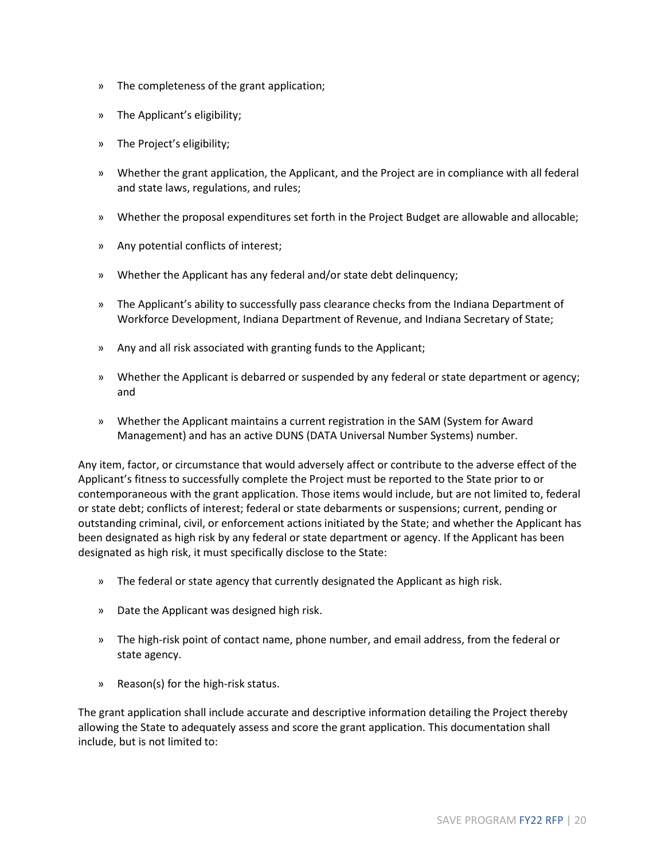- » The completeness of the grant application;
- » The Applicant's eligibility;
- » The Project's eligibility;
- » Whether the grant application, the Applicant, and the Project are in compliance with all federal and state laws, regulations, and rules;
- » Whether the proposal expenditures set forth in the Project Budget are allowable and allocable;
- » Any potential conflicts of interest;
- » Whether the Applicant has any federal and/or state debt delinquency;
- » The Applicant's ability to successfully pass clearance checks from the Indiana Department of Workforce Development, Indiana Department of Revenue, and Indiana Secretary of State;
- » Any and all risk associated with granting funds to the Applicant;
- » Whether the Applicant is debarred or suspended by any federal or state department or agency; and
- » Whether the Applicant maintains a current registration in the SAM (System for Award Management) and has an active DUNS (DATA Universal Number Systems) number.

Any item, factor, or circumstance that would adversely affect or contribute to the adverse effect of the Applicant's fitness to successfully complete the Project must be reported to the State prior to or contemporaneous with the grant application. Those items would include, but are not limited to, federal or state debt; conflicts of interest; federal or state debarments or suspensions; current, pending or outstanding criminal, civil, or enforcement actions initiated by the State; and whether the Applicant has been designated as high risk by any federal or state department or agency. If the Applicant has been designated as high risk, it must specifically disclose to the State:

- » The federal or state agency that currently designated the Applicant as high risk.
- » Date the Applicant was designed high risk.
- » The high-risk point of contact name, phone number, and email address, from the federal or state agency.
- » Reason(s) for the high-risk status.

The grant application shall include accurate and descriptive information detailing the Project thereby allowing the State to adequately assess and score the grant application. This documentation shall include, but is not limited to: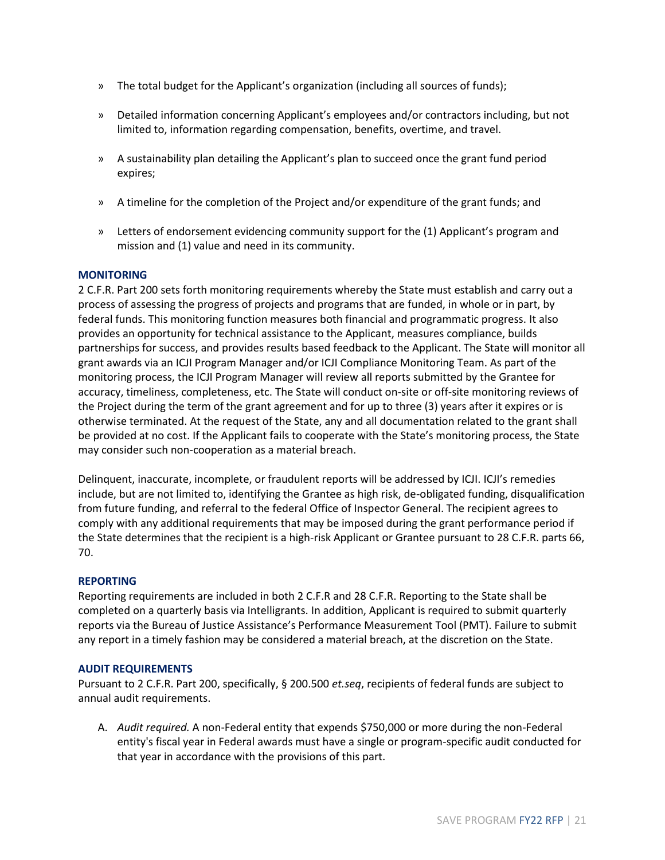- » The total budget for the Applicant's organization (including all sources of funds);
- » Detailed information concerning Applicant's employees and/or contractors including, but not limited to, information regarding compensation, benefits, overtime, and travel.
- » A sustainability plan detailing the Applicant's plan to succeed once the grant fund period expires;
- » A timeline for the completion of the Project and/or expenditure of the grant funds; and
- » Letters of endorsement evidencing community support for the (1) Applicant's program and mission and (1) value and need in its community.

#### **MONITORING**

2 C.F.R. Part 200 sets forth monitoring requirements whereby the State must establish and carry out a process of assessing the progress of projects and programs that are funded, in whole or in part, by federal funds. This monitoring function measures both financial and programmatic progress. It also provides an opportunity for technical assistance to the Applicant, measures compliance, builds partnerships for success, and provides results based feedback to the Applicant. The State will monitor all grant awards via an ICJI Program Manager and/or ICJI Compliance Monitoring Team. As part of the monitoring process, the ICJI Program Manager will review all reports submitted by the Grantee for accuracy, timeliness, completeness, etc. The State will conduct on-site or off-site monitoring reviews of the Project during the term of the grant agreement and for up to three (3) years after it expires or is otherwise terminated. At the request of the State, any and all documentation related to the grant shall be provided at no cost. If the Applicant fails to cooperate with the State's monitoring process, the State may consider such non-cooperation as a material breach.

Delinquent, inaccurate, incomplete, or fraudulent reports will be addressed by ICJI. ICJI's remedies include, but are not limited to, identifying the Grantee as high risk, de-obligated funding, disqualification from future funding, and referral to the federal Office of Inspector General. The recipient agrees to comply with any additional requirements that may be imposed during the grant performance period if the State determines that the recipient is a high-risk Applicant or Grantee pursuant to 28 C.F.R. parts 66, 70.

#### **REPORTING**

Reporting requirements are included in both 2 C.F.R and 28 C.F.R. Reporting to the State shall be completed on a quarterly basis via Intelligrants. In addition, Applicant is required to submit quarterly reports via the Bureau of Justice Assistance's Performance Measurement Tool (PMT). Failure to submit any report in a timely fashion may be considered a material breach, at the discretion on the State.

### **AUDIT REQUIREMENTS**

Pursuant to 2 C.F.R. Part 200, specifically, § 200.500 *et.seq*, recipients of federal funds are subject to annual audit requirements.

A. *Audit required.* A non-Federal entity that expends \$750,000 or more during the non-Federal entity's fiscal year in Federal awards must have a single or program-specific audit conducted for that year in accordance with the provisions of this part.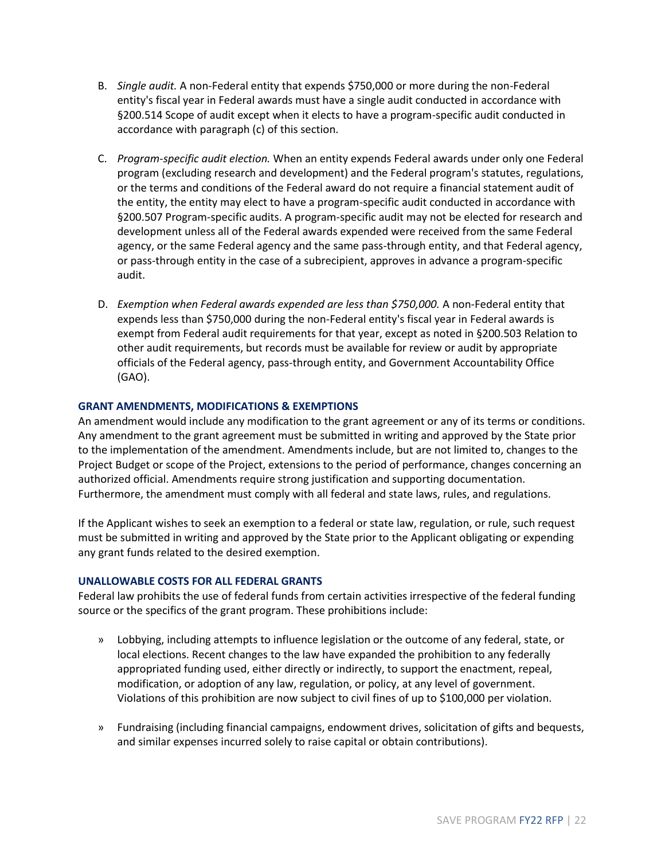- B. *Single audit.* A non-Federal entity that expends \$750,000 or more during the non-Federal entity's fiscal year in Federal awards must have a single audit conducted in accordance with §200.514 Scope of audit except when it elects to have a program-specific audit conducted in accordance with paragraph (c) of this section.
- C. *Program-specific audit election.* When an entity expends Federal awards under only one Federal program (excluding research and development) and the Federal program's statutes, regulations, or the terms and conditions of the Federal award do not require a financial statement audit of the entity, the entity may elect to have a program-specific audit conducted in accordance with §200.507 Program-specific audits. A program-specific audit may not be elected for research and development unless all of the Federal awards expended were received from the same Federal agency, or the same Federal agency and the same pass-through entity, and that Federal agency, or pass-through entity in the case of a subrecipient, approves in advance a program-specific audit.
- D. *Exemption when Federal awards expended are less than \$750,000.* A non-Federal entity that expends less than \$750,000 during the non-Federal entity's fiscal year in Federal awards is exempt from Federal audit requirements for that year, except as noted in §200.503 Relation to other audit requirements, but records must be available for review or audit by appropriate officials of the Federal agency, pass-through entity, and Government Accountability Office (GAO).

### **GRANT AMENDMENTS, MODIFICATIONS & EXEMPTIONS**

An amendment would include any modification to the grant agreement or any of its terms or conditions. Any amendment to the grant agreement must be submitted in writing and approved by the State prior to the implementation of the amendment. Amendments include, but are not limited to, changes to the Project Budget or scope of the Project, extensions to the period of performance, changes concerning an authorized official. Amendments require strong justification and supporting documentation. Furthermore, the amendment must comply with all federal and state laws, rules, and regulations.

If the Applicant wishes to seek an exemption to a federal or state law, regulation, or rule, such request must be submitted in writing and approved by the State prior to the Applicant obligating or expending any grant funds related to the desired exemption.

### **UNALLOWABLE COSTS FOR ALL FEDERAL GRANTS**

Federal law prohibits the use of federal funds from certain activities irrespective of the federal funding source or the specifics of the grant program. These prohibitions include:

- » Lobbying, including attempts to influence legislation or the outcome of any federal, state, or local elections. Recent changes to the law have expanded the prohibition to any federally appropriated funding used, either directly or indirectly, to support the enactment, repeal, modification, or adoption of any law, regulation, or policy, at any level of government. Violations of this prohibition are now subject to civil fines of up to \$100,000 per violation.
- » Fundraising (including financial campaigns, endowment drives, solicitation of gifts and bequests, and similar expenses incurred solely to raise capital or obtain contributions).